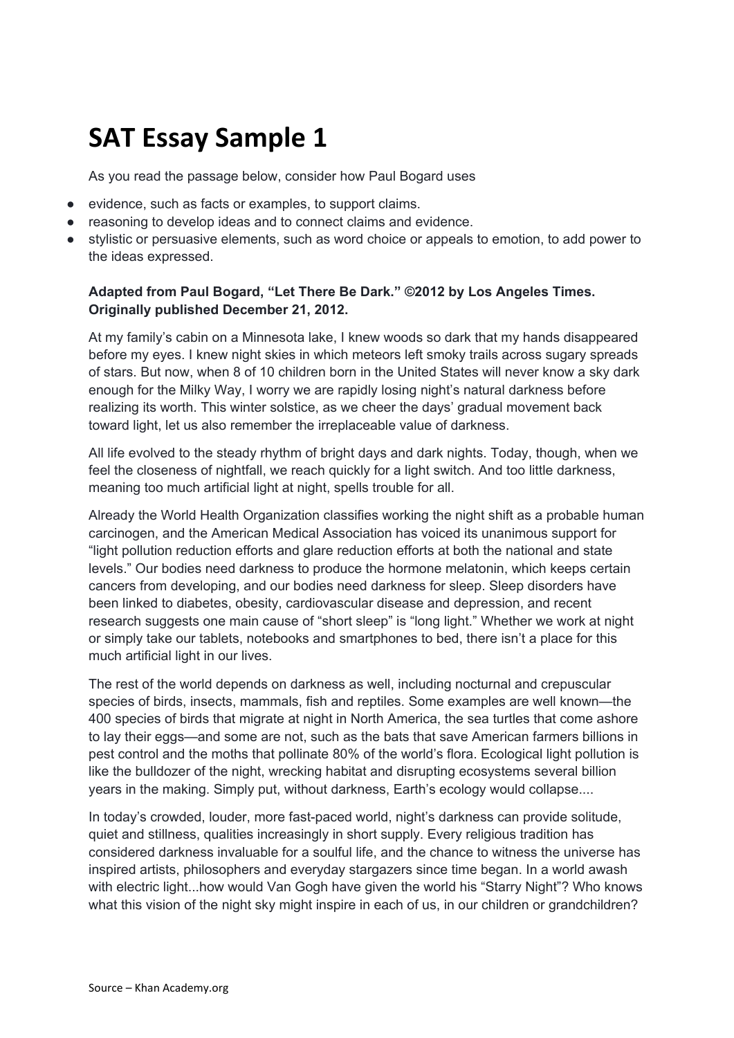# **SAT Essay Sample 1**

As you read the passage below, consider how Paul Bogard uses

- evidence, such as facts or examples, to support claims.
- reasoning to develop ideas and to connect claims and evidence.
- stylistic or persuasive elements, such as word choice or appeals to emotion, to add power to the ideas expressed.

### **Adapted from Paul Bogard, "Let There Be Dark." ©2012 by Los Angeles Times. Originally published December 21, 2012.**

At my family's cabin on a Minnesota lake, I knew woods so dark that my hands disappeared before my eyes. I knew night skies in which meteors left smoky trails across sugary spreads of stars. But now, when 8 of 10 children born in the United States will never know a sky dark enough for the Milky Way, I worry we are rapidly losing night's natural darkness before realizing its worth. This winter solstice, as we cheer the days' gradual movement back toward light, let us also remember the irreplaceable value of darkness.

All life evolved to the steady rhythm of bright days and dark nights. Today, though, when we feel the closeness of nightfall, we reach quickly for a light switch. And too little darkness, meaning too much artificial light at night, spells trouble for all.

Already the World Health Organization classifies working the night shift as a probable human carcinogen, and the American Medical Association has voiced its unanimous support for "light pollution reduction efforts and glare reduction efforts at both the national and state levels." Our bodies need darkness to produce the hormone melatonin, which keeps certain cancers from developing, and our bodies need darkness for sleep. Sleep disorders have been linked to diabetes, obesity, cardiovascular disease and depression, and recent research suggests one main cause of "short sleep" is "long light." Whether we work at night or simply take our tablets, notebooks and smartphones to bed, there isn't a place for this much artificial light in our lives.

The rest of the world depends on darkness as well, including nocturnal and crepuscular species of birds, insects, mammals, fish and reptiles. Some examples are well known—the 400 species of birds that migrate at night in North America, the sea turtles that come ashore to lay their eggs—and some are not, such as the bats that save American farmers billions in pest control and the moths that pollinate 80% of the world's flora. Ecological light pollution is like the bulldozer of the night, wrecking habitat and disrupting ecosystems several billion years in the making. Simply put, without darkness, Earth's ecology would collapse....

In today's crowded, louder, more fast-paced world, night's darkness can provide solitude, quiet and stillness, qualities increasingly in short supply. Every religious tradition has considered darkness invaluable for a soulful life, and the chance to witness the universe has inspired artists, philosophers and everyday stargazers since time began. In a world awash with electric light...how would Van Gogh have given the world his "Starry Night"? Who knows what this vision of the night sky might inspire in each of us, in our children or grandchildren?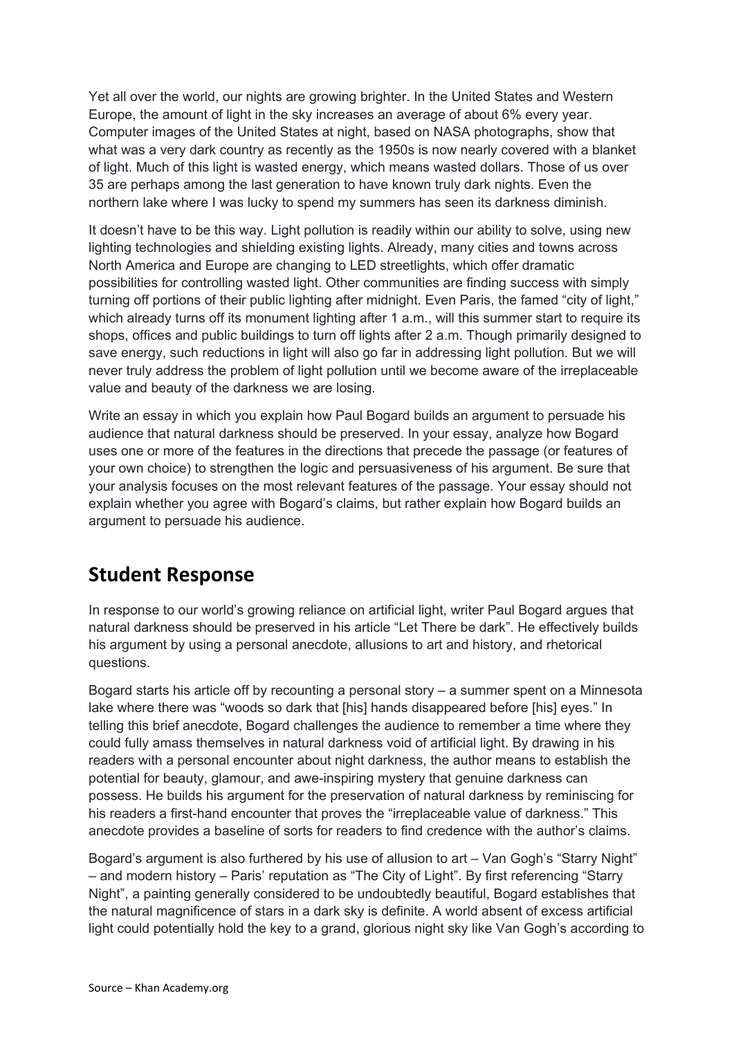Yet all over the world, our nights are growing brighter. In the United States and Western Europe, the amount of light in the sky increases an average of about 6% every year. Computer images of the United States at night, based on NASA photographs, show that what was a very dark country as recently as the 1950s is now nearly covered with a blanket of light. Much of this light is wasted energy, which means wasted dollars. Those of us over 35 are perhaps among the last generation to have known truly dark nights. Even the northern lake where I was lucky to spend my summers has seen its darkness diminish.

It doesn't have to be this way. Light pollution is readily within our ability to solve, using new lighting technologies and shielding existing lights. Already, many cities and towns across North America and Europe are changing to LED streetlights, which offer dramatic possibilities for controlling wasted light. Other communities are finding success with simply turning off portions of their public lighting after midnight. Even Paris, the famed "city of light," which already turns off its monument lighting after 1 a.m., will this summer start to require its shops, offices and public buildings to turn off lights after 2 a.m. Though primarily designed to save energy, such reductions in light will also go far in addressing light pollution. But we will never truly address the problem of light pollution until we become aware of the irreplaceable value and beauty of the darkness we are losing.

Write an essay in which you explain how Paul Bogard builds an argument to persuade his audience that natural darkness should be preserved. In your essay, analyze how Bogard uses one or more of the features in the directions that precede the passage (or features of your own choice) to strengthen the logic and persuasiveness of his argument. Be sure that your analysis focuses on the most relevant features of the passage. Your essay should not explain whether you agree with Bogard's claims, but rather explain how Bogard builds an argument to persuade his audience.

## **Student Response**

In response to our world's growing reliance on artificial light, writer Paul Bogard argues that natural darkness should be preserved in his article "Let There be dark". He effectively builds his argument by using a personal anecdote, allusions to art and history, and rhetorical questions.

Bogard starts his article off by recounting a personal story – a summer spent on a Minnesota lake where there was "woods so dark that [his] hands disappeared before [his] eyes." In telling this brief anecdote, Bogard challenges the audience to remember a time where they could fully amass themselves in natural darkness void of artificial light. By drawing in his readers with a personal encounter about night darkness, the author means to establish the potential for beauty, glamour, and awe-inspiring mystery that genuine darkness can possess. He builds his argument for the preservation of natural darkness by reminiscing for his readers a first-hand encounter that proves the "irreplaceable value of darkness." This anecdote provides a baseline of sorts for readers to find credence with the author's claims.

Bogard's argument is also furthered by his use of allusion to art – Van Gogh's "Starry Night" – and modern history – Paris' reputation as "The City of Light". By first referencing "Starry Night", a painting generally considered to be undoubtedly beautiful, Bogard establishes that the natural magnificence of stars in a dark sky is definite. A world absent of excess artificial light could potentially hold the key to a grand, glorious night sky like Van Gogh's according to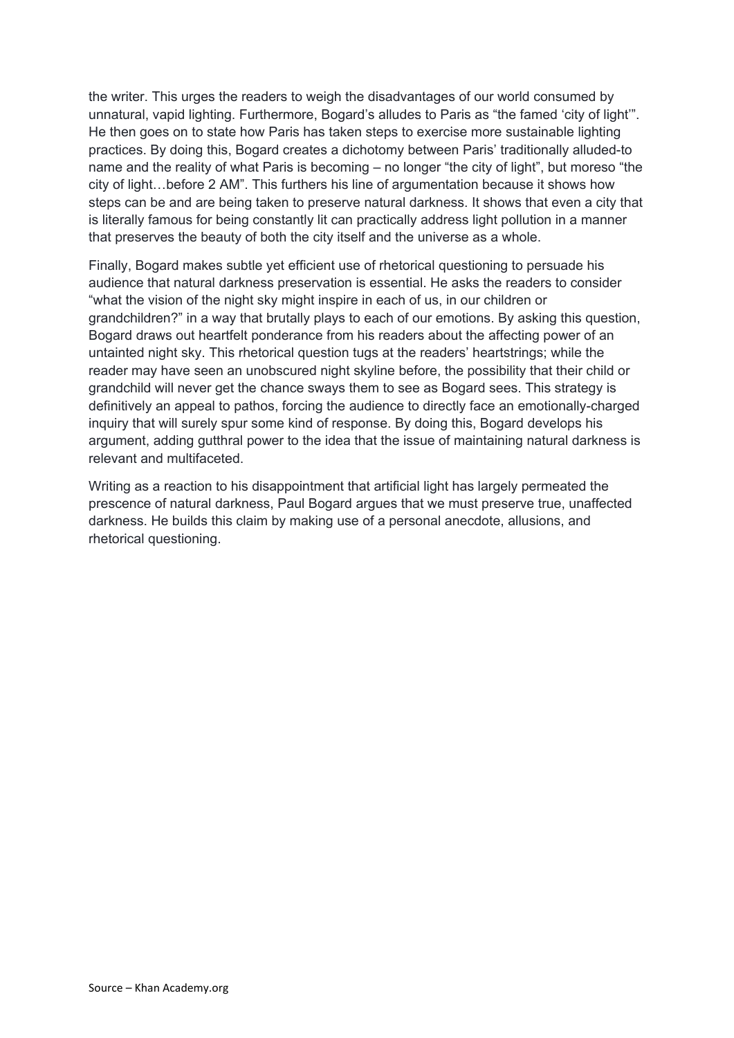the writer. This urges the readers to weigh the disadvantages of our world consumed by unnatural, vapid lighting. Furthermore, Bogard's alludes to Paris as "the famed 'city of light'". He then goes on to state how Paris has taken steps to exercise more sustainable lighting practices. By doing this, Bogard creates a dichotomy between Paris' traditionally alluded-to name and the reality of what Paris is becoming – no longer "the city of light", but moreso "the city of light…before 2 AM". This furthers his line of argumentation because it shows how steps can be and are being taken to preserve natural darkness. It shows that even a city that is literally famous for being constantly lit can practically address light pollution in a manner that preserves the beauty of both the city itself and the universe as a whole.

Finally, Bogard makes subtle yet efficient use of rhetorical questioning to persuade his audience that natural darkness preservation is essential. He asks the readers to consider "what the vision of the night sky might inspire in each of us, in our children or grandchildren?" in a way that brutally plays to each of our emotions. By asking this question, Bogard draws out heartfelt ponderance from his readers about the affecting power of an untainted night sky. This rhetorical question tugs at the readers' heartstrings; while the reader may have seen an unobscured night skyline before, the possibility that their child or grandchild will never get the chance sways them to see as Bogard sees. This strategy is definitively an appeal to pathos, forcing the audience to directly face an emotionally-charged inquiry that will surely spur some kind of response. By doing this, Bogard develops his argument, adding gutthral power to the idea that the issue of maintaining natural darkness is relevant and multifaceted.

Writing as a reaction to his disappointment that artificial light has largely permeated the prescence of natural darkness, Paul Bogard argues that we must preserve true, unaffected darkness. He builds this claim by making use of a personal anecdote, allusions, and rhetorical questioning.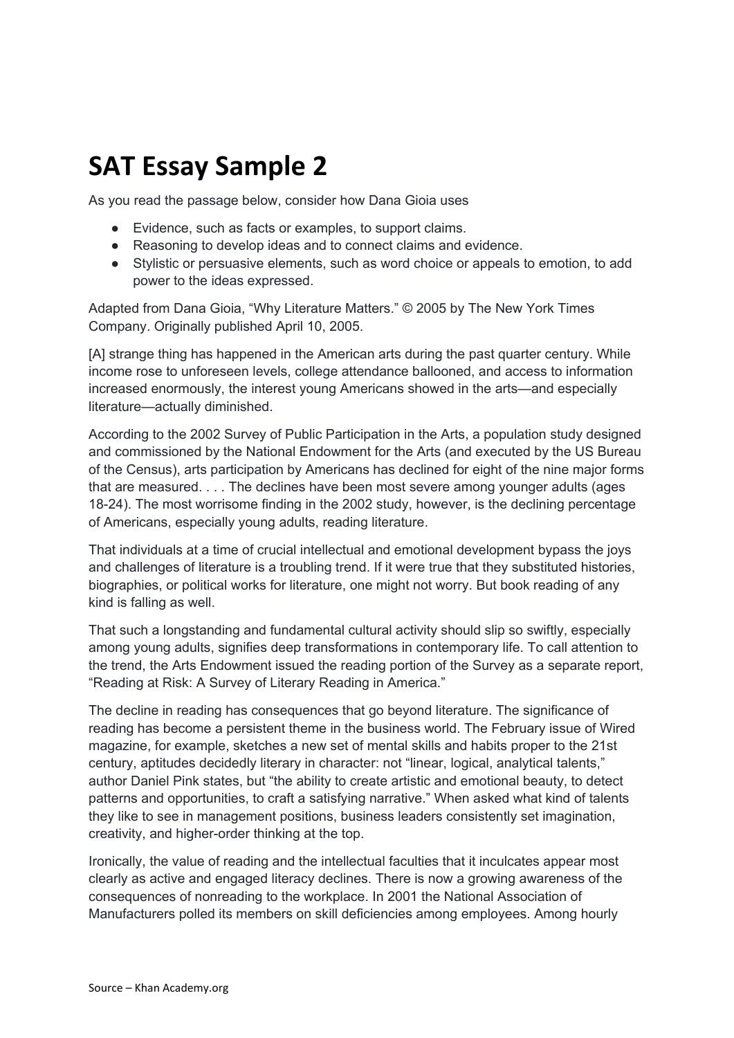## **SAT Essay Sample 2**

As you read the passage below, consider how Dana Gioia uses

- Evidence, such as facts or examples, to support claims.
- Reasoning to develop ideas and to connect claims and evidence.
- Stylistic or persuasive elements, such as word choice or appeals to emotion, to add power to the ideas expressed.

Adapted from Dana Gioia, "Why Literature Matters." © 2005 by The New York Times Company. Originally published April 10, 2005.

[A] strange thing has happened in the American arts during the past quarter century. While income rose to unforeseen levels, college attendance ballooned, and access to information increased enormously, the interest young Americans showed in the arts—and especially literature—actually diminished.

According to the 2002 Survey of Public Participation in the Arts, a population study designed and commissioned by the National Endowment for the Arts (and executed by the US Bureau of the Census), arts participation by Americans has declined for eight of the nine major forms that are measured. . . . The declines have been most severe among younger adults (ages 18-24). The most worrisome finding in the 2002 study, however, is the declining percentage of Americans, especially young adults, reading literature.

That individuals at a time of crucial intellectual and emotional development bypass the joys and challenges of literature is a troubling trend. If it were true that they substituted histories, biographies, or political works for literature, one might not worry. But book reading of any kind is falling as well.

That such a longstanding and fundamental cultural activity should slip so swiftly, especially among young adults, signifies deep transformations in contemporary life. To call attention to the trend, the Arts Endowment issued the reading portion of the Survey as a separate report, "Reading at Risk: A Survey of Literary Reading in America."

The decline in reading has consequences that go beyond literature. The significance of reading has become a persistent theme in the business world. The February issue of Wired magazine, for example, sketches a new set of mental skills and habits proper to the 21st century, aptitudes decidedly literary in character: not "linear, logical, analytical talents," author Daniel Pink states, but "the ability to create artistic and emotional beauty, to detect patterns and opportunities, to craft a satisfying narrative." When asked what kind of talents they like to see in management positions, business leaders consistently set imagination, creativity, and higher-order thinking at the top.

Ironically, the value of reading and the intellectual faculties that it inculcates appear most clearly as active and engaged literacy declines. There is now a growing awareness of the consequences of nonreading to the workplace. In 2001 the National Association of Manufacturers polled its members on skill deficiencies among employees. Among hourly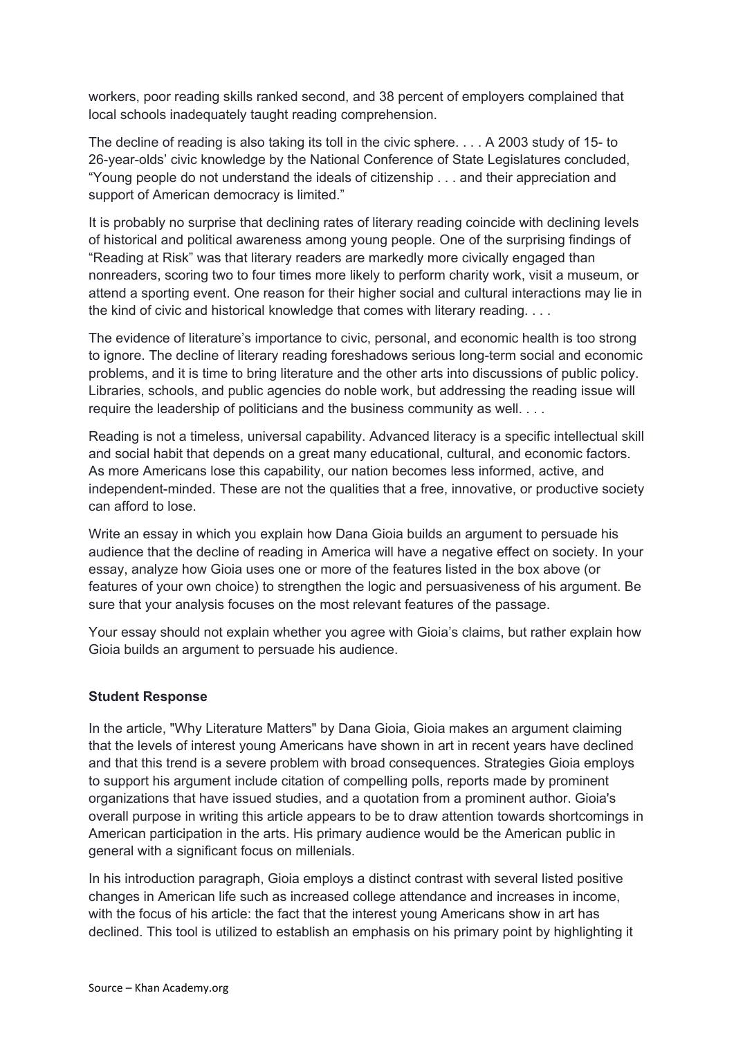workers, poor reading skills ranked second, and 38 percent of employers complained that local schools inadequately taught reading comprehension.

The decline of reading is also taking its toll in the civic sphere. . . . A 2003 study of 15- to 26-year-olds' civic knowledge by the National Conference of State Legislatures concluded, "Young people do not understand the ideals of citizenship . . . and their appreciation and support of American democracy is limited."

It is probably no surprise that declining rates of literary reading coincide with declining levels of historical and political awareness among young people. One of the surprising findings of "Reading at Risk" was that literary readers are markedly more civically engaged than nonreaders, scoring two to four times more likely to perform charity work, visit a museum, or attend a sporting event. One reason for their higher social and cultural interactions may lie in the kind of civic and historical knowledge that comes with literary reading. . . .

The evidence of literature's importance to civic, personal, and economic health is too strong to ignore. The decline of literary reading foreshadows serious long-term social and economic problems, and it is time to bring literature and the other arts into discussions of public policy. Libraries, schools, and public agencies do noble work, but addressing the reading issue will require the leadership of politicians and the business community as well. . . .

Reading is not a timeless, universal capability. Advanced literacy is a specific intellectual skill and social habit that depends on a great many educational, cultural, and economic factors. As more Americans lose this capability, our nation becomes less informed, active, and independent-minded. These are not the qualities that a free, innovative, or productive society can afford to lose.

Write an essay in which you explain how Dana Gioia builds an argument to persuade his audience that the decline of reading in America will have a negative effect on society. In your essay, analyze how Gioia uses one or more of the features listed in the box above (or features of your own choice) to strengthen the logic and persuasiveness of his argument. Be sure that your analysis focuses on the most relevant features of the passage.

Your essay should not explain whether you agree with Gioia's claims, but rather explain how Gioia builds an argument to persuade his audience.

#### **Student Response**

In the article, "Why Literature Matters" by Dana Gioia, Gioia makes an argument claiming that the levels of interest young Americans have shown in art in recent years have declined and that this trend is a severe problem with broad consequences. Strategies Gioia employs to support his argument include citation of compelling polls, reports made by prominent organizations that have issued studies, and a quotation from a prominent author. Gioia's overall purpose in writing this article appears to be to draw attention towards shortcomings in American participation in the arts. His primary audience would be the American public in general with a significant focus on millenials.

In his introduction paragraph, Gioia employs a distinct contrast with several listed positive changes in American life such as increased college attendance and increases in income, with the focus of his article: the fact that the interest young Americans show in art has declined. This tool is utilized to establish an emphasis on his primary point by highlighting it